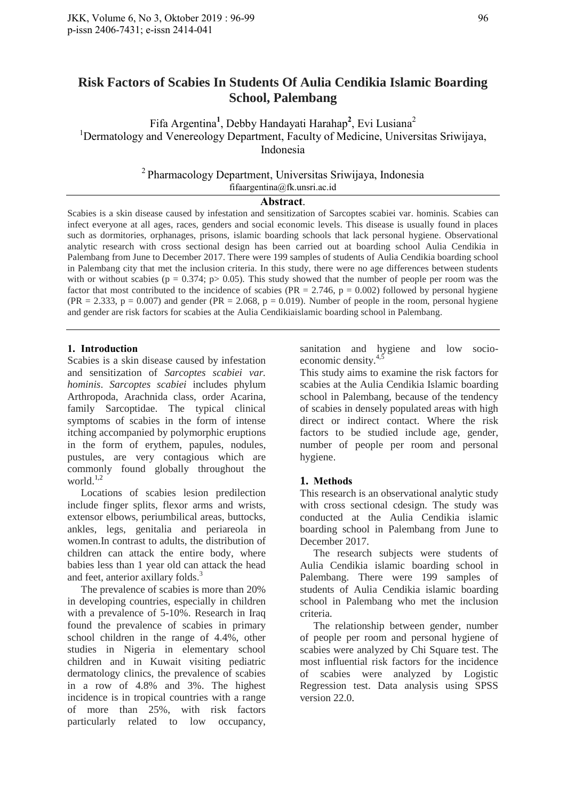# **Risk Factors of Scabies In Students Of Aulia Cendikia Islamic Boarding School, Palembang**

Fifa Argentina<sup>1</sup>, Debby Handayati Harahap<sup>2</sup>, Evi Lusiana<sup>2</sup> <sup>1</sup>Dermatology and Venereology Department, Faculty of Medicine, Universitas Sriwijaya, Indonesia

> $2$ Pharmacology Department, Universitas Sriwijaya, Indonesia fifaargentina@fk.unsri.ac.id

### **Abstract**.

Scabies is a skin disease caused by infestation and sensitization of Sarcoptes scabiei var. hominis. Scabies can infect everyone at all ages, races, genders and social economic levels. This disease is usually found in places such as dormitories, orphanages, prisons, islamic boarding schools that lack personal hygiene. Observational analytic research with cross sectional design has been carried out at boarding school Aulia Cendikia in Palembang from June to December 2017. There were 199 samples of students of Aulia Cendikia boarding school in Palembang city that met the inclusion criteria. In this study, there were no age differences between students with or without scabies ( $p = 0.374$ ;  $p > 0.05$ ). This study showed that the number of people per room was the factor that most contributed to the incidence of scabies ( $PR = 2.746$ ,  $p = 0.002$ ) followed by personal hygiene  $(PR = 2.333, p = 0.007)$  and gender  $(PR = 2.068, p = 0.019)$ . Number of people in the room, personal hygiene and gender are risk factors for scabies at the Aulia Cendikiaislamic boarding school in Palembang.

# **1. Introduction**

Scabies is a skin disease caused by infestation and sensitization of *Sarcoptes scabiei var. hominis*. *Sarcoptes scabiei* includes phylum Arthropoda, Arachnida class, order Acarina, family Sarcoptidae. The typical clinical symptoms of scabies in the form of intense itching accompanied by polymorphic eruptions in the form of erythem, papules, nodules, pustules, are very contagious which are commonly found globally throughout the world.<sup>1,2</sup>

Locations of scabies lesion predilection include finger splits, flexor arms and wrists, extensor elbows, periumbilical areas, buttocks, ankles, legs, genitalia and periareola in women.In contrast to adults, the distribution of children can attack the entire body, where babies less than 1 year old can attack the head and feet, anterior axillary folds. 3

The prevalence of scabies is more than 20% in developing countries, especially in children with a prevalence of 5-10%. Research in Iraq found the prevalence of scabies in primary school children in the range of 4.4%, other studies in Nigeria in elementary school children and in Kuwait visiting pediatric dermatology clinics, the prevalence of scabies in a row of 4.8% and 3%. The highest incidence is in tropical countries with a range of more than 25%, with risk factors particularly related to low occupancy, sanitation and hygiene and low socioeconomic density.<sup>4,5</sup>

This study aims to examine the risk factors for scabies at the Aulia Cendikia Islamic boarding school in Palembang, because of the tendency of scabies in densely populated areas with high direct or indirect contact. Where the risk factors to be studied include age, gender, number of people per room and personal hygiene.

# **1. Methods**

This research is an observational analytic study with cross sectional cdesign. The study was conducted at the Aulia Cendikia islamic boarding school in Palembang from June to December 2017.

The research subjects were students of Aulia Cendikia islamic boarding school in Palembang. There were 199 samples of students of Aulia Cendikia islamic boarding school in Palembang who met the inclusion criteria.

The relationship between gender, number of people per room and personal hygiene of scabies were analyzed by Chi Square test. The most influential risk factors for the incidence of scabies were analyzed by Logistic Regression test. Data analysis using SPSS version 22.0.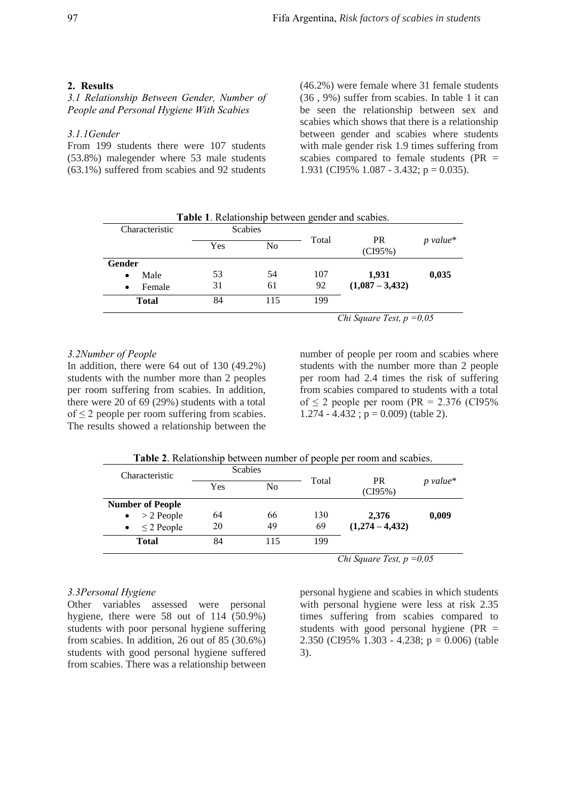### **2. Results**

*3.1 Relationship Between Gender, Number of People and Personal Hygiene With Scabies*

# *3.1.1Gender*

From 199 students there were 107 students (53.8%) malegender where 53 male students (63.1%) suffered from scabies and 92 students

(46.2%) were female where 31 female students (36 , 9%) suffer from scabies. In table 1 it can be seen the relationship between sex and scabies which shows that there is a relationship between gender and scabies where students with male gender risk 1.9 times suffering from scabies compared to female students ( $PR =$ 1.931 (CI95% 1.087 - 3.432;  $p = 0.035$ ).

| Characteristic    | <b>Table 1.</b> Relationship between gender and scabies.<br><b>Scabies</b> |                |       |                      |            |
|-------------------|----------------------------------------------------------------------------|----------------|-------|----------------------|------------|
|                   | Yes                                                                        | N <sub>o</sub> | Total | <b>PR</b><br>(CI95%) | $p$ value* |
| Gender            |                                                                            |                |       |                      |            |
| Male<br>$\bullet$ | 53                                                                         | 54             | 107   | 1.931                | 0,035      |
| Female<br>٠       | 31                                                                         | 61             | 92    | $(1,087 - 3,432)$    |            |
| <b>Total</b>      | 84                                                                         | 115            | 199   |                      |            |

*3.2Number of People*

In addition, there were 64 out of 130 (49.2%) students with the number more than 2 peoples per room suffering from scabies. In addition, there were 20 of 69 (29%) students with a total  $of \leq 2$  people per room suffering from scabies. The results showed a relationship between the number of people per room and scabies where students with the number more than 2 people per room had 2.4 times the risk of suffering from scabies compared to students with a total of  $\leq$  2 people per room (PR = 2.376 (CI95%)  $1.274 - 4.432$ ;  $p = 0.009$ ) (table 2).

|--|

| Characteristic            | <b>Scabies</b> |                |       |                      |            |
|---------------------------|----------------|----------------|-------|----------------------|------------|
|                           | Yes            | N <sub>o</sub> | Total | <b>PR</b><br>(CI95%) | $p$ value* |
| <b>Number of People</b>   |                |                |       |                      |            |
| $>$ 2 People<br>$\bullet$ | 64             | 66             | 130   | 2,376                | 0,009      |
| $\leq$ 2 People           | 20             | 49             | 69    | $(1,274 - 4,432)$    |            |
| <b>Total</b>              | 84             | 115            | 199   |                      |            |

#### *3.3Personal Hygiene*

Other variables assessed were personal hygiene, there were 58 out of 114 (50.9%) students with poor personal hygiene suffering from scabies. In addition, 26 out of 85 (30.6%) students with good personal hygiene suffered from scabies. There was a relationship between

personal hygiene and scabies in which students with personal hygiene were less at risk 2.35 times suffering from scabies compared to students with good personal hygiene (PR = 2.350 (CI95% 1.303 - 4.238; p = 0.006) (table 3).

*Chi Square Test, p =0,05*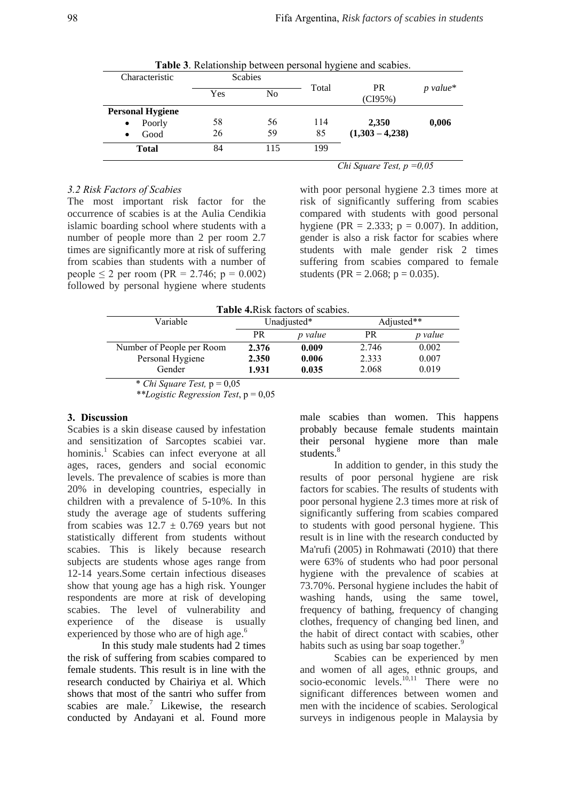|                         |                |                | Jo                                 |                      |            |
|-------------------------|----------------|----------------|------------------------------------|----------------------|------------|
| Characteristic          | <b>Scabies</b> |                |                                    |                      |            |
|                         | Yes            | N <sub>0</sub> | Total                              | <b>PR</b><br>(CI95%) | $p$ value* |
| <b>Personal Hygiene</b> |                |                |                                    |                      |            |
| Poorly<br>$\bullet$     | 58             | 56             | 114                                | 2,350                | 0,006      |
| Good<br>$\bullet$       | 26             | 59             | 85                                 | $(1,303 - 4,238)$    |            |
| <b>Total</b>            | 84             | 115            | 199                                |                      |            |
|                         |                |                | <i>Chi Square Test, p</i> = $0.05$ |                      |            |

**Table 3**. Relationship between personal hygiene and scabies.

### *3.2 Risk Factors of Scabies*

The most important risk factor for the occurrence of scabies is at the Aulia Cendikia islamic boarding school where students with a number of people more than 2 per room 2.7 times are significantly more at risk of suffering from scabies than students with a number of people ≤ 2 per room (PR = 2.746; p = 0.002) followed by personal hygiene where students

with poor personal hygiene 2.3 times more at risk of significantly suffering from scabies compared with students with good personal hygiene (PR = 2.333;  $p = 0.007$ ). In addition, gender is also a risk factor for scabies where students with male gender risk 2 times suffering from scabies compared to female students (PR = 2.068;  $p = 0.035$ ).

| Table 4. Risk factors of scabies. |             |         |           |            |  |  |  |
|-----------------------------------|-------------|---------|-----------|------------|--|--|--|
| Variable                          | Unadjusted* |         |           | Adjusted** |  |  |  |
|                                   | <b>PR</b>   | p value | <b>PR</b> | p value    |  |  |  |
| Number of People per Room         | 2.376       | 0.009   | 2.746     | 0.002      |  |  |  |
| Personal Hygiene                  | 2.350       | 0.006   | 2.333     | 0.007      |  |  |  |
| Gender                            | 1.931       | 0.035   | 2.068     | 0.019      |  |  |  |
| * Chi Saugua Tast $p = 0.05$      |             |         |           |            |  |  |  |

*Chi Square Test,*  $p = 0.05$ 

*\*\*Logistic Regression Test*, p = 0,05

## **3. Discussion**

Scabies is a skin disease caused by infestation and sensitization of Sarcoptes scabiei var. hominis.<sup>1</sup> Scabies can infect everyone at all ages, races, genders and social economic levels. The prevalence of scabies is more than 20% in developing countries, especially in children with a prevalence of 5-10%. In this study the average age of students suffering from scabies was  $12.7 \pm 0.769$  years but not statistically different from students without scabies. This is likely because research subjects are students whose ages range from 12-14 years.Some certain infectious diseases show that young age has a high risk. Younger respondents are more at risk of developing scabies. The level of vulnerability and experience of the disease is usually experienced by those who are of high age.<sup>6</sup>

In this study male students had 2 times the risk of suffering from scabies compared to female students. This result is in line with the research conducted by Chairiya et al. Which shows that most of the santri who suffer from scabies are male.<sup>7</sup> Likewise, the research conducted by Andayani et al. Found more

male scabies than women. This happens probably because female students maintain their personal hygiene more than male students.<sup>8</sup>

In addition to gender, in this study the results of poor personal hygiene are risk factors for scabies. The results of students with poor personal hygiene 2.3 times more at risk of significantly suffering from scabies compared to students with good personal hygiene. This result is in line with the research conducted by Ma'rufi (2005) in Rohmawati (2010) that there were 63% of students who had poor personal hygiene with the prevalence of scabies at 73.70%. Personal hygiene includes the habit of washing hands, using the same towel, frequency of bathing, frequency of changing clothes, frequency of changing bed linen, and the habit of direct contact with scabies, other habits such as using bar soap together.<sup>9</sup>

Scabies can be experienced by men and women of all ages, ethnic groups, and socio-economic levels. $^{10,11}$  There were no significant differences between women and men with the incidence of scabies. Serological surveys in indigenous people in Malaysia by